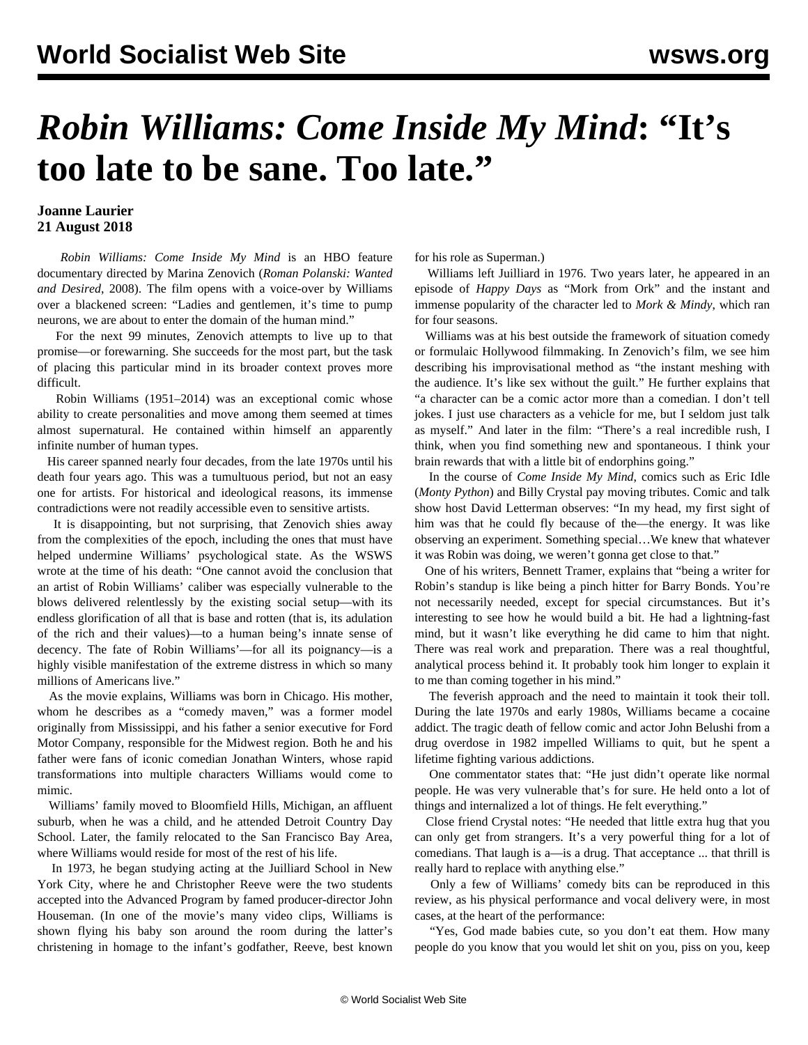## *Robin Williams: Come Inside My Mind***: "It's too late to be sane. Too late."**

## **Joanne Laurier 21 August 2018**

 *Robin Williams: Come Inside My Mind* is an HBO feature documentary directed by Marina Zenovich (*Roman Polanski: Wanted and Desired*, 2008). The film opens with a voice-over by Williams over a blackened screen: "Ladies and gentlemen, it's time to pump neurons, we are about to enter the domain of the human mind."

 For the next 99 minutes, Zenovich attempts to live up to that promise—or forewarning. She succeeds for the most part, but the task of placing this particular mind in its broader context proves more difficult.

 Robin Williams (1951–2014) was an exceptional comic whose ability to create personalities and move among them seemed at times almost supernatural. He contained within himself an apparently infinite number of human types.

 His career spanned nearly four decades, from the late 1970s until his death four years ago. This was a tumultuous period, but not an easy one for artists. For historical and ideological reasons, its immense contradictions were not readily accessible even to sensitive artists.

 It is disappointing, but not surprising, that Zenovich shies away from the complexities of the epoch, including the ones that must have helped undermine Williams' psychological state. As the WSWS wrote at the time of his death: "One cannot avoid the conclusion that an artist of Robin Williams' caliber was especially vulnerable to the blows delivered relentlessly by the existing social setup—with its endless glorification of all that is base and rotten (that is, its adulation of the rich and their values)—to a human being's innate sense of decency. The fate of Robin Williams'—for all its poignancy—is a highly visible manifestation of the extreme distress in which so many millions of Americans live."

 As the movie explains, Williams was born in Chicago. His mother, whom he describes as a "comedy maven," was a former model originally from Mississippi, and his father a senior executive for Ford Motor Company, responsible for the Midwest region. Both he and his father were fans of iconic comedian Jonathan Winters, whose rapid transformations into multiple characters Williams would come to mimic.

 Williams' family moved to Bloomfield Hills, Michigan, an affluent suburb, when he was a child, and he attended Detroit Country Day School. Later, the family relocated to the San Francisco Bay Area, where Williams would reside for most of the rest of his life.

 In 1973, he began studying acting at the Juilliard School in New York City, where he and Christopher Reeve were the two students accepted into the Advanced Program by famed producer-director John Houseman. (In one of the movie's many video clips, Williams is shown flying his baby son around the room during the latter's christening in homage to the infant's godfather, Reeve, best known for his role as Superman.)

 Williams left Juilliard in 1976. Two years later, he appeared in an episode of *Happy Days* as "Mork from Ork" and the instant and immense popularity of the character led to *Mork & Mindy*, which ran for four seasons.

 Williams was at his best outside the framework of situation comedy or formulaic Hollywood filmmaking. In Zenovich's film, we see him describing his improvisational method as "the instant meshing with the audience. It's like sex without the guilt." He further explains that "a character can be a comic actor more than a comedian. I don't tell jokes. I just use characters as a vehicle for me, but I seldom just talk as myself." And later in the film: "There's a real incredible rush, I think, when you find something new and spontaneous. I think your brain rewards that with a little bit of endorphins going."

 In the course of *Come Inside My Mind*, comics such as Eric Idle (*Monty Python*) and Billy Crystal pay moving tributes. Comic and talk show host David Letterman observes: "In my head, my first sight of him was that he could fly because of the—the energy. It was like observing an experiment. Something special…We knew that whatever it was Robin was doing, we weren't gonna get close to that."

 One of his writers, Bennett Tramer, explains that "being a writer for Robin's standup is like being a pinch hitter for Barry Bonds. You're not necessarily needed, except for special circumstances. But it's interesting to see how he would build a bit. He had a lightning-fast mind, but it wasn't like everything he did came to him that night. There was real work and preparation. There was a real thoughtful, analytical process behind it. It probably took him longer to explain it to me than coming together in his mind."

 The feverish approach and the need to maintain it took their toll. During the late 1970s and early 1980s, Williams became a cocaine addict. The tragic death of fellow comic and actor John Belushi from a drug overdose in 1982 impelled Williams to quit, but he spent a lifetime fighting various addictions.

 One commentator states that: "He just didn't operate like normal people. He was very vulnerable that's for sure. He held onto a lot of things and internalized a lot of things. He felt everything."

 Close friend Crystal notes: "He needed that little extra hug that you can only get from strangers. It's a very powerful thing for a lot of comedians. That laugh is a—is a drug. That acceptance ... that thrill is really hard to replace with anything else."

 Only a few of Williams' comedy bits can be reproduced in this review, as his physical performance and vocal delivery were, in most cases, at the heart of the performance:

"Yes, God made babies cute, so you don't eat them. How many people do you know that you would let shit on you, piss on you, keep